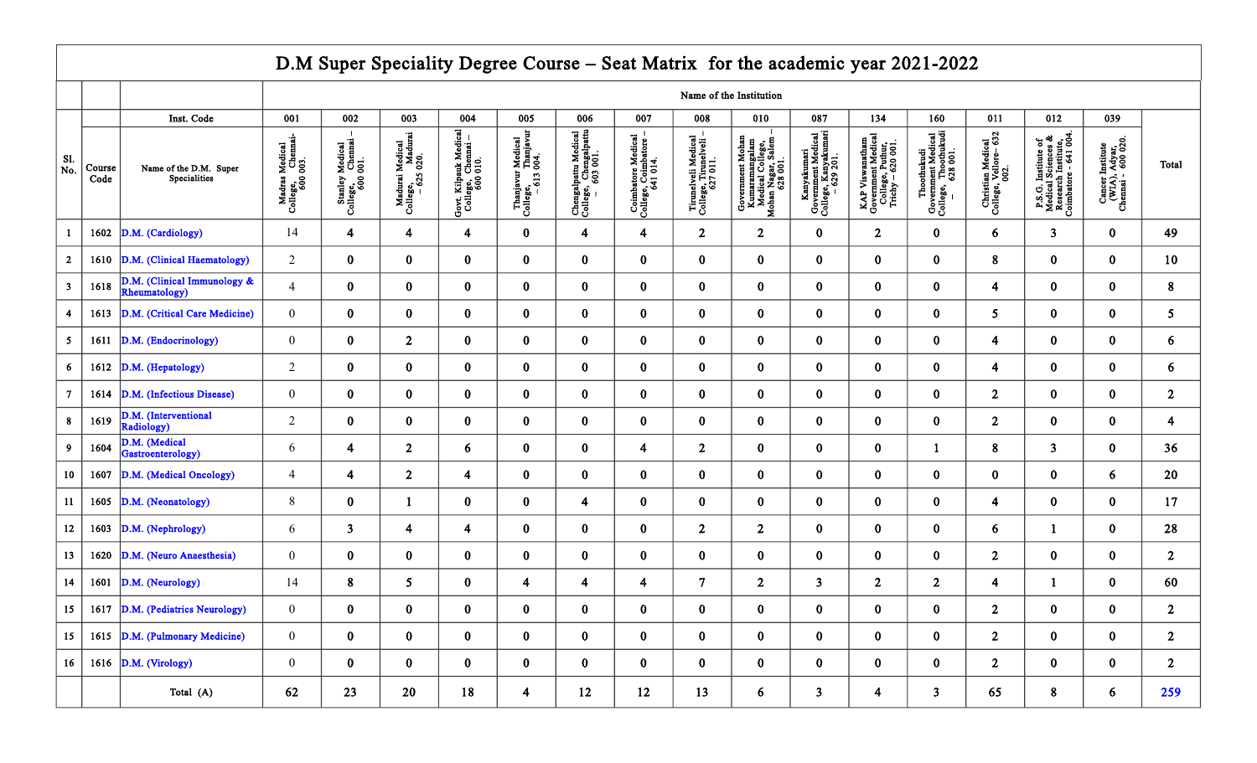## D.M Super Speciality Degree Course – Seat Matrix for the academic year 2021-2022

|                           |                |                                              | Name of the Institution                        |                                                  |                                                  |                                                        |                                                       |                                                             |                                                                                                  |                                                         |                                                                                                        |                                                                                |                                                                                |                                                                         |                                                    |                                                                                     |                                                         |                |
|---------------------------|----------------|----------------------------------------------|------------------------------------------------|--------------------------------------------------|--------------------------------------------------|--------------------------------------------------------|-------------------------------------------------------|-------------------------------------------------------------|--------------------------------------------------------------------------------------------------|---------------------------------------------------------|--------------------------------------------------------------------------------------------------------|--------------------------------------------------------------------------------|--------------------------------------------------------------------------------|-------------------------------------------------------------------------|----------------------------------------------------|-------------------------------------------------------------------------------------|---------------------------------------------------------|----------------|
|                           |                | Inst. Code                                   | 001                                            | 002                                              | 003                                              | 004                                                    | 005                                                   | 006                                                         | 007                                                                                              | 008                                                     | 010                                                                                                    | 087                                                                            | 134                                                                            | 160                                                                     | 011                                                | 012                                                                                 | 039                                                     |                |
| Sl.<br>$\overline{N_0}$ . | Course<br>Code | Name of the D.M. Super<br>Specialities       | Madras Medical<br>College, Chemai-<br>600 003. | Stanley Medical<br>College, Chemai -<br>600 001. | Madurai Medical<br>College, Madurai<br>-625 020. | Govt. Kilpauk Medical<br>College, Chemai –<br>600 010. | Thanjavur Medical<br>College, Thanjavur<br>- 613 004. | Chengalpattu Medical<br>College, Chengalpattu<br>- 603 001. | $\begin{array}{c} \text{Combator Medical} \\ \text{College, Coimbator} \\ 641\ 014. \end{array}$ | Tirmelveli Medical<br>College, Tirmelveli –<br>627 011. | Government Mohan<br>Kumaramangalam<br>Medical College,<br>Mohan Nagar, Salem –<br>Mohan Nagar, Salem – | Kanyakumari<br>  Government Medical<br>  College, Kanyakumari<br>  – 629, 201. | KAP Viswanatham<br>Government Medical<br>College, Puthur,<br>Trichy – 620 001. | Thoothukudi<br>Government Medical<br>College, Thoothukudi<br>– 628 001. | Christian Medical<br>College, Vellore- 632<br>002. | P.S.G. Institute of Medical Sciences $\&$ Research Institute, Coimbatore - 641 004. | Cancer Institute<br>(WIA), Adyar,<br>Chennai - 600 020. | Total          |
|                           | 1602           | D.M. (Cardiology)                            | 14                                             | $\overline{\mathbf{4}}$                          | $\overline{\mathbf{4}}$                          | $\overline{\mathbf{4}}$                                | $\bf{0}$                                              | $\overline{\mathbf{4}}$                                     | $\overline{\mathbf{4}}$                                                                          | $\overline{2}$                                          | $\overline{2}$                                                                                         | $\bf{0}$                                                                       | $\mathbf{2}$                                                                   | $\bf{0}$                                                                | 6                                                  | $\overline{\mathbf{3}}$                                                             | $\mathbf{0}$                                            | 49             |
| $\overline{2}$            | 1610           | D.M. (Clinical Haematology)                  | $\overline{2}$                                 | $\bf{0}$                                         | $\bf{0}$                                         | $\mathbf{0}$                                           | $\bf{0}$                                              | $\bf{0}$                                                    | $\bf{0}$                                                                                         | $\bf{0}$                                                | $\bf{0}$                                                                                               | $\mathbf{0}$                                                                   | $\bf{0}$                                                                       | $\bf{0}$                                                                | 8                                                  | $\bf{0}$                                                                            | $\mathbf{0}$                                            | 10             |
| $\overline{\mathbf{3}}$   | 1618           | D.M. (Clinical Immunology &<br>Rheumatology) | $\overline{4}$                                 | $\bf{0}$                                         | $\bf{0}$                                         | $\mathbf{0}$                                           | $\pmb{0}$                                             | $\bf{0}$                                                    | $\bf{0}$                                                                                         | $\pmb{0}$                                               | $\bf{0}$                                                                                               | $\bf{0}$                                                                       | $\bf{0}$                                                                       | $\bf{0}$                                                                | $\overline{4}$                                     | $\bf{0}$                                                                            | $\mathbf{0}$                                            | $\bf 8$        |
| $\overline{4}$            | 1613           | D.M. (Critical Care Medicine)                | $\mathbf{0}$                                   | $\bf{0}$                                         | $\bf{0}$                                         | $\mathbf{0}$                                           | $\bf{0}$                                              | $\bf{0}$                                                    | $\bf{0}$                                                                                         | $\bf{0}$                                                | $\bf{0}$                                                                                               | $\bf{0}$                                                                       | $\bf{0}$                                                                       | $\bf{0}$                                                                | $5\overline{)}$                                    | $\bf{0}$                                                                            | $\mathbf{0}$                                            | 5 <sup>5</sup> |
| 5                         | 1611           | D.M. (Endocrinology)                         | $\boldsymbol{0}$                               | $\bf{0}$                                         | $\overline{2}$                                   | $\bf{0}$                                               | $\pmb{0}$                                             | $\bf{0}$                                                    | $\bf{0}$                                                                                         | $\pmb{0}$                                               | $\pmb{0}$                                                                                              | $\bf{0}$                                                                       | $\bf{0}$                                                                       | $\bf{0}$                                                                | $\overline{\mathbf{4}}$                            | $\bf{0}$                                                                            | $\mathbf{0}$                                            | 6              |
| 6                         | 1612           | D.M. (Hepatology)                            | $\overline{2}$                                 | $\bf{0}$                                         | $\bf{0}$                                         | $\bf{0}$                                               | $\bf{0}$                                              | $\bf{0}$                                                    | $\bf{0}$                                                                                         | $\bf{0}$                                                | $\bf{0}$                                                                                               | $\bf{0}$                                                                       | $\bf{0}$                                                                       | $\bf{0}$                                                                | $\overline{4}$                                     | $\bf{0}$                                                                            | $\mathbf{0}$                                            | 6              |
| $\overline{7}$            | 1614           | D.M. (Infectious Disease)                    | $\overline{0}$                                 | $\bf{0}$                                         | $\bf{0}$                                         | $\mathbf{0}$                                           | $\bf{0}$                                              | $\bf{0}$                                                    | $\bf{0}$                                                                                         | $\bf{0}$                                                | $\bf{0}$                                                                                               | $\bf{0}$                                                                       | $\bf{0}$                                                                       | $\bf{0}$                                                                | $\overline{2}$                                     | $\mathbf{0}$                                                                        | $\mathbf{0}$                                            | 2 <sup>1</sup> |
| 8                         | 1619           | D.M. (Interventional<br>Radiology)           | $\overline{2}$                                 | $\bf{0}$                                         | $\bf{0}$                                         | $\bf{0}$                                               | $\bf{0}$                                              | $\bf{0}$                                                    | $\bf{0}$                                                                                         | $\bf{0}$                                                | $\bf{0}$                                                                                               | $\bf{0}$                                                                       | $\mathbf{0}$                                                                   | $\bf{0}$                                                                | $\overline{2}$                                     | $\bf{0}$                                                                            | $\mathbf{0}$                                            | $\overline{4}$ |
| $\overline{9}$            | 1604           | D.M. (Medical<br>Gastroenterology)           | 6                                              | 4                                                | 2 <sup>1</sup>                                   | 6                                                      | $\bf{0}$                                              | $\bf{0}$                                                    | 4                                                                                                | $\overline{2}$                                          | $\bf{0}$                                                                                               | $\bf{0}$                                                                       | $\bf{0}$                                                                       | $\mathbf{1}$                                                            | $\bf 8$                                            | $\overline{\mathbf{3}}$                                                             | $\mathbf{0}$                                            | 36             |
| 10                        | 1607           | D.M. (Medical Oncology)                      | $\overline{4}$                                 | 4                                                | 2 <sup>1</sup>                                   | 4                                                      | $\bf{0}$                                              | $\bf{0}$                                                    | $\bf{0}$                                                                                         | $\bf{0}$                                                | $\bf{0}$                                                                                               | $\bf{0}$                                                                       | $\bf{0}$                                                                       | $\bf{0}$                                                                | $\bf{0}$                                           | $\bf{0}$                                                                            | 6                                                       | 20             |
| 11                        | 1605           | D.M. (Neonatology)                           | $8\,$                                          | $\bf{0}$                                         | $\mathbf{1}$                                     | $\mathbf{0}$                                           | $\bf{0}$                                              | $\overline{\mathbf{4}}$                                     | $\bf{0}$                                                                                         | $\bf{0}$                                                | $\bf{0}$                                                                                               | $\bf{0}$                                                                       | $\mathbf{0}$                                                                   | $\bf{0}$                                                                | $\overline{\mathbf{4}}$                            | $\bf{0}$                                                                            | $\mathbf{0}$                                            | 17             |
| $12\,$                    | 1603           | D.M. (Nephrology)                            | 6                                              | 3 <sup>1</sup>                                   | $\overline{\mathbf{4}}$                          | 4                                                      | $\bf{0}$                                              | $\bf{0}$                                                    | $\bf{0}$                                                                                         | $\mathbf{2}$                                            | $\overline{2}$                                                                                         | $\bf{0}$                                                                       | $\bf{0}$                                                                       | $\bf{0}$                                                                | 6                                                  | 1                                                                                   | $\mathbf{0}$                                            | 28             |
| $13$                      | 1620           | D.M. (Neuro Anaesthesia)                     | $\boldsymbol{0}$                               | $\bf{0}$                                         | $\bf{0}$                                         | $\bf{0}$                                               | $\pmb{0}$                                             | $\pmb{0}$                                                   | $\bf{0}$                                                                                         | $\bf{0}$                                                | $\bf{0}$                                                                                               | $\bf{0}$                                                                       | $\mathbf{0}$                                                                   | $\bf{0}$                                                                | $\overline{2}$                                     | $\bf{0}$                                                                            | $\mathbf{0}$                                            | 2 <sup>1</sup> |
| 14                        | 1601           | D.M. (Neurology)                             | 14                                             | 8                                                | 5 <sup>5</sup>                                   | $\bf{0}$                                               | $\overline{\mathbf{4}}$                               | $\overline{\mathbf{4}}$                                     | 4                                                                                                | $\overline{7}$                                          | 2 <sup>1</sup>                                                                                         | $\overline{\mathbf{3}}$                                                        | $\mathbf{2}$                                                                   | $\overline{2}$                                                          | $\overline{4}$                                     | $\mathbf{1}$                                                                        | $\mathbf{0}$                                            | 60             |
| $15\,$                    | 1617           | D.M. (Pediatrics Neurology)                  | $\mathbf{0}$                                   | $\bf{0}$                                         | $\bf{0}$                                         | $\bf{0}$                                               | $\bf{0}$                                              | $\bf{0}$                                                    | $\bf{0}$                                                                                         | $\bf{0}$                                                | $\bf{0}$                                                                                               | $\bf{0}$                                                                       | $\bf{0}$                                                                       | $\bf{0}$                                                                | $\overline{2}$                                     | $\bf{0}$                                                                            | $\mathbf{0}$                                            | 2 <sup>1</sup> |
| 15                        | 1615           | D.M. (Pulmonary Medicine)                    | $\mathbf{0}$                                   | $\bf{0}$                                         | $\bf{0}$                                         | $\bf{0}$                                               | $\bf{0}$                                              | $\bf{0}$                                                    | $\bf{0}$                                                                                         | $\bf{0}$                                                | $\bf{0}$                                                                                               | $\bf{0}$                                                                       | $\bf{0}$                                                                       | $\bf{0}$                                                                | $\overline{2}$                                     | $\bf{0}$                                                                            | $\mathbf{0}$                                            | 2 <sup>1</sup> |
| 16                        |                | 1616 $\vert$ D.M. (Virology)                 | $\overline{0}$                                 | $\bf{0}$                                         | $\bf{0}$                                         | $\bf{0}$                                               | $\pmb{0}$                                             | $\bf{0}$                                                    | $\bf{0}$                                                                                         | $\bf{0}$                                                | $\bf{0}$                                                                                               | $\bf{0}$                                                                       | $\bf{0}$                                                                       | $\bf{0}$                                                                | $2^{\circ}$                                        | $\bf{0}$                                                                            | $\mathbf{0}$                                            | 2 <sup>1</sup> |
|                           |                | Total (A)                                    | 62                                             | 23                                               | 20                                               | 18                                                     | $\overline{\mathbf{4}}$                               | 12                                                          | 12                                                                                               | 13                                                      | 6                                                                                                      | $\overline{\mathbf{3}}$                                                        | 4                                                                              | $\overline{\mathbf{3}}$                                                 | 65                                                 | 8                                                                                   | 6                                                       | 259            |